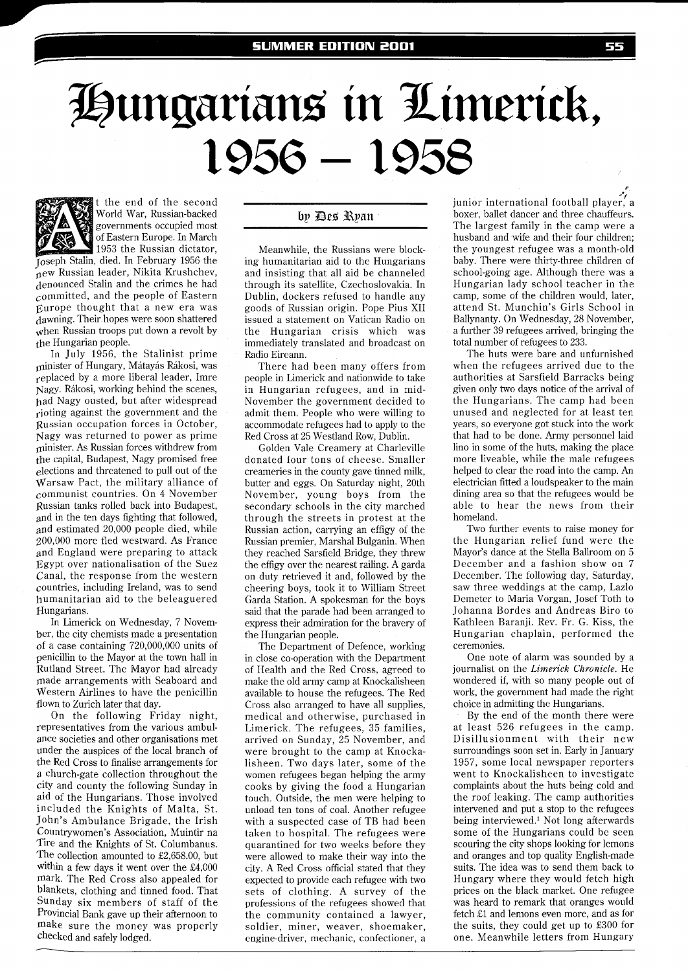## Hungarians in Limerick, 1956 – 1958



It the end of the second World War, Russian-backed governments occupied most of Eastern Europe. In March 1953 the Russian dictator,

Toseph Stalin, died. In February 1956 the new Russian leader, Nikita Krushchev, denounced Stalin and the crimes he had committed, and the people of Eastern Europe thought that a new era was dawning. Their hopes were soon shattered when Russian troops put down a revolt by the Hungarian people.

In July 1956, the Stalinist prime minister of Hungary, Mátayás Rákosi, was replaced by a more liberal leader, Imre Nagy. Rikosi, working behind the scenes, bad Nagy ousted, but after widespread rioting against the government and the pussian occupation forces in October, Vagy was returned to power as prime minister. As Russian forces withdrew from the capital, Budapest, Nagy promised free elections and threatened to pull out of the Warsaw Pact, the military alliance of communist countries. On 4 November Russian tanks rolled back into Budapest, and in the ten days fighting that followed, and estimated 20,000 people died, while 200,000 more fled westward. As France and England were preparing to attack Egypt over nationalisation of the Suez Canal, the response from the western countries, including Ireland, was to send humanitarian aid to the beleaguered Hungarians.

In Limerick on Wednesday, 7 November, the city chemists made a presentation of a case containing 720,000,000 units of penicillin to the Mayor at the town hall in Putland Street. The Mayor had already made arrangements with Seaboard and Western Airlines to have the penicillin flown to Zurich later that day.

On the following Friday night, representatives from the various ambulance societies and other organisations met under the auspices of the local branch of the Red Cross to finalise arrangements for a church-gate collection throughout the city and county the following Sunday in aid of the Hungarians. Those involved included the Knights of Malta, St. John's Ambulance Brigade, the Irish Countrywomen's Association, Muintir na Tire and the Knights of St. Columbanus. The collection amounted to £2,658.00, but within a few days it went over the £4,000 mark. The Red Cross also appealed for blankets, clothing and tinned food. That Sunday six members of staff of the Provincial Bank gave up their afternoon to make sure the money was properly checked and safely lodged.

## by Des Ryan

Meanwhile, the Russians were blocking humanitarian aid to the Hungarians and insisting that all aid be channeled through its satellite, Czechoslovakia. In Dublin, dockers refused to handle any goods of Russian origin. Pope Pius XI1 issued a statement on Vatican Radio on the Hungarian crisis which was immediately translated and broadcast on Radio Eireann.

There had been many offers from people in Limerick and nationwide to take in Hungarian refugees, and in mid-November the government decided to admit them. People who were willing to accommodate refugees had to apply to the Red Cross at 25 Westland Row, Dublin.

Golden Vale Creamery at Charleville donated four tons of cheese. Smaller creameries in the county gave tinned milk, butter and eggs. On Saturday night, 20th November, young boys from the secondary schools in the city marched through the streets in protest at the Russian action, carrying an effigy of the Russian premier, Marshal Bulganin. When they reached Sarsfield Bridge, they threw the effigy over the nearest railing. A garda on duty retrieved it and, followed by the cheering boys, took it to William Street Garda Station. A spokesman for the boys said that the parade had been arranged to express their admiration for the bravery of the Hungarian people.

The Department of Defence, working in close co-operation with the Department of Health and the Red Cross, agreed to make the old army camp at Knockalisheen available to house the refugees. The Red Cross also arranged to have all supplies, medical and otherwise, purchased in Limerick. The refugees, 35 families, arrived on Sunday, 25 November, and were brought to the camp at Knockalisheen. Two days later, some of the women refugees began helping the army cooks by giving the food a Hungarian touch. Outside, the men were helping to unload ten tons of coal. Another refugee with a suspected case of TB had been taken to hospital. The refugees were quarantined for two weeks before they were allowed to make their way into the city. A Red Cross official stated that they expected to provide each refugee with two sets of clothing. A survey of the professions of the refugees showed that the community contained a lawyer, soldier, miner, weaver, shoemaker, engine-driver, mechanic, confectioner, a junior international football player, a boxer, ballet dancer and three chauffeurs. The largest family in the camp were a husband and wife and their four children; the youngest refugee was a month-old baby. There were thirty-three children of school-going age. Although there was a Hungarian lady school teacher in the camp, some of the children would, later, attend St. Munchin's Girls School in Ballynanty. On Wednesday, 28 November, a further 39 refugees arrived, bringing the total number of refugees to 233.

The huts were bare and unfurnished when the refugees arrived due to the authorities at Sarsfield Barracks being given only two days notice of the arrival of the Hungarians. The camp had been unused and neglected for at least ten years, so everyone got stuck into the work that had to be done. Army personnel laid lino in some of the huts, making the place more liveable, while the male refugees helped to clear the road into the camp. An electrician fitted a loudspeaker to the main dining area so that the refugees would be able to hear the news from their homeland.

Two further events to raise money for the Hungarian relief fund were the Mayor's dance at the Stella Ballroom on 5 December and a fashion show on 7 December. The following day, Saturday, saw three weddings at the camp, Lazlo Demeter to Maria Vorgan, Josef Toth to Johanna Bordes and Andreas Biro to Kathleen Baranji. Rev. Fr. G. Kiss, the Hungarian chaplain, performed the ceremonies.

One note of alarm was sounded by a journalist on the *Limerick Chronicle.* He wondered if, with so many people out of work, the government had made the right choice in admitting the Hungarians.

By the end of the month there were at least 526 refugees in the camp. Disillusionment with their new surroundings soon set in. Early in January 1957, some local newspaper reporters went to Knockalisheen to investigate complaints about the huts being cold and the roof leaking. The camp authorities intervened and put a stop to the refugees being interviewed.' Not long afterwards some of the Hungarians could be seen scouring the city shops looking for lemons and oranges and top quality English-made suits. The idea was to send them back to Hungary where they would fetch high prices on the black market. One refugee was heard to remark that oranges would fetch £1 and lemons even more, and as for the suits, they could get up to £300 for one. Meanwhile letters from Hungary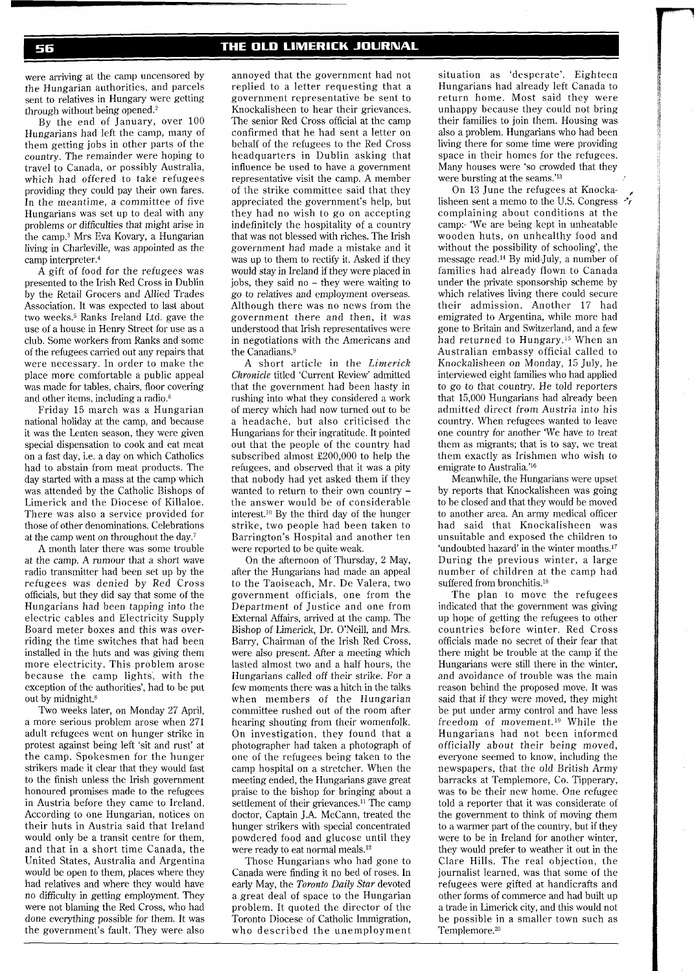were arriving at the camp uncensored by the Hungarian authorities, and parcels sent to relatives in Hungary were getting through without being opened. $2$ 

By the end of January, over 100 Hungarians had left the camp, many of them getting jobs in other parts of the country. The remainder were hoping to travel to Canada, or possibly Australia, which had offered to take refugees providing they could pay their own fares. In the meantime, a committee of five Hungarians was set up to deal with any problems or difficulties that might arise in the camp.3 Mrs Eva Kovary, a Hungarian living in Charleville, was appointed as the camp interpreter.<sup>4</sup>

A gift of food for the refugees was presented to the Irish Red Cross in Dublin by the Retail Grocers and Allied Trades Association. It was expected to last about two weeks.<sup>5</sup> Ranks Ireland Ltd. gave the use of a house in Henry Street for use as a club. Some workers from Ranks and some of the refugees carried out any repairs that were necessary. In order to make the place more comfortable a public appeal was made for tables, chairs, floor covering and other items, including a radio. $6$ 

Friday 15 march was a Hungarian national holiday at the camp, and because it was the Lenten season, they were given special dispensation to cook and eat meat on a fast day, i.e. a day on which Catholics had to abstain from meat products. The day started with a mass at the camp which was attended by the Catholic Bishops of Limerick and the Diocese of Killaloe. There was also a service provided for those of other denominations. Celebrations at the camp went on throughout the day.7

A month later there was some trouble at the camp. A rumour that a short wave radio transmitter had been set up by the refugees was denied by Red Cross officials, but they did say that some of the Hungarians had been tapping into the electric cables and Electricity Supply Board meter boxes and this was overriding the time switches that had been installed in the huts and was giving them more electricity. This problem arose because the camp lights, with the exception of the authorities', had to be put out by midnight.8

Two weeks later, on Monday 27 April, a more serious problem arose when 271 adult refugees went on hunger strike in protest against being left 'sit and rust' at the camp. Spokesmen for the hunger strikers made it clear that they would fast to the finish unless the Irish government honoured promises made to the refugees in Austria before they came to Ireland. According to one Hungarian, notices on their huts in Austria said that Ireland would only be a transit centre for them, and that in a short time Canada, the United States, Australia and Argentina would be open to them, places where they had relatives and where they would have no difficulty in getting employment. They were not blaming the Red Cross, who had done everything possible for them. It was the government's fault. They were also

annoyed that the government had not replied to a letter requesting that a government representative be sent to Knockalisheen to hear their grievances. The senior Red Cross official at the camp confirmed that he had sent a letter on behalf of the refugees to the Red Cross headquarters in Dublin asking that influence be used to have a government representative visit the camp. A member of the strike committee said that they appreciated the government's help, but they had no wish to go on accepting indefinitely the hospitality of a country that was not blessed with riches. The Irish government had made a mistake and it was up to them to rectify it. Asked if they would stay in Ireland if they were placed in jobs, they said no - they were waiting to go to relatives and employment overseas. Although there was no news from the government there and then, it was understood that Irish representatives were in negotiations with the Americans and the Canadians.9

A short article in the *Limerick Chronicle* titled 'Current Review' admitted that the government had been hasty in rushing into what they considered a work of mercy which had now turned out to be a headache, but also criticised the Hungarians for their ingratitude. It pointed out that the people of the country had subscribed almost £200,000 to help the refugees, and observed that it was a pity that nobody had yet asked them if they wanted to return to their own country the answer would be of considerable interest.1° By the third day of the hunger strike, two people had been taken to Barrington's Hospital and another ten were reported to be quite weak.

On the afternoon of Thursday, 2 May, after the Hungarians had made an appeal to the Taoiseach, Mr. De Valera, two government officials, one from the Department of Justice and one from External Affairs, arrived at the camp. The Bishop of Limerick, Dr. O'Neill, and Mrs. Barry, Chairman of the Irish Red Cross, were also present. After a meeting which lasted almost two and a half hours, the Hungarians called off their strike. For a few moments there was a hitch in the talks when members of the Hungarian committee rushed out of the room after hearing shouting from their womenfolk. On investigation, they found that a photographer had taken a photograph of one of the refugees being taken to the camp hospital on a stretcher. When the meeting ended, the Hungarians gave great praise to the bishop for bringing about a settlement of their grievances.<sup>11</sup> The camp doctor, Captain J.A. McCann, treated the hunger strikers with special concentrated powdered food and glucose until they were ready to eat normal meals.12

Those Hungarians who had gone to Canada were finding it no bed of roses. In early May, the *Toronto Daily Star* devoted a great deal of space to the Hungarian problem. It quoted the director of the Toronto Diocese of Catholic Immigration, who described the unemployment

situation as 'desperate'. Eighteen Hungarians had already left Canada to return home. Most said they were unhappy because they could not bring their families to join them. Housing was also a problem. Hungarians who had been living there for some time were providing space in their homes for the refugees. Many houses were 'so crowded that they were bursting at the seams.'<sup>13</sup>

On 13 June the refugees at Knockalisheen sent a memo to the US. Congress **<sup>v</sup>** complaining about conditions at the camp:- 'We are being kept in unheatable wooden huts, on unhealthy food and without the possibility of schooling', the message read.14 By mid-July, a number of families had already flown to Canada under the private sponsorship scheme by which relatives living there could secure their admission. Another 17 had emigrated to Argentina, while more had gone to Britain and Switzerland, and a few had returned to Hungary.15 When an Australian embassy official called to Knockalisheen on Monday, 15 July, he interviewed eight families who had applied to go to that country. He told reporters that 15,000 Hungarians had already been admitted direct from Austria into his country. When refugees wanted to leave one country for another 'We have to treat them as migrants; that is to say, we treat them exactly as Irishmen who wish to emigrate to Australia.'<sup>16</sup>

Meanwhile, the Hungarians were upset by reports that Knockalisheen was going to be closed and that they would be moved to another area. An army medical officer had said that Knockalisheen was unsuitable and exposed the children to 'undoubted hazard' in the winter months.17 During the previous winter, a large number of children at the camp had suffered from bronchitis.<sup>18</sup>

The plan to move the refugees indicated that the government was giving up hope of getting the refugees to other countries before winter. Red Cross officials made no secret of their fear that there might be trouble at the camp if the Hungarians were still there in the winter, and avoidance of trouble was the main reason behind the proposed move. It was said that if they were moved, they might be put under army control and have less freedom of movement.<sup>19</sup> While the Hungarians had not been informed officially about their being moved, everyone seemed to know, including the newspapers, that the old British Army barracks at Templemore, Co. Tipperary, was to be their new home. One refugee told a reporter that it was considerate of the government to think of moving them to a warmer part of the country, but if they were to be in Ireland for another winter, they would prefer to weather it out in the Clare Hills. The real objection, the journalist learned, was that some of the refugees were gifted at handicrafts and other forms of commerce and had built up a trade in Limerick city, and this would not be possible in a smaller town such as Templemore.<sup>20</sup>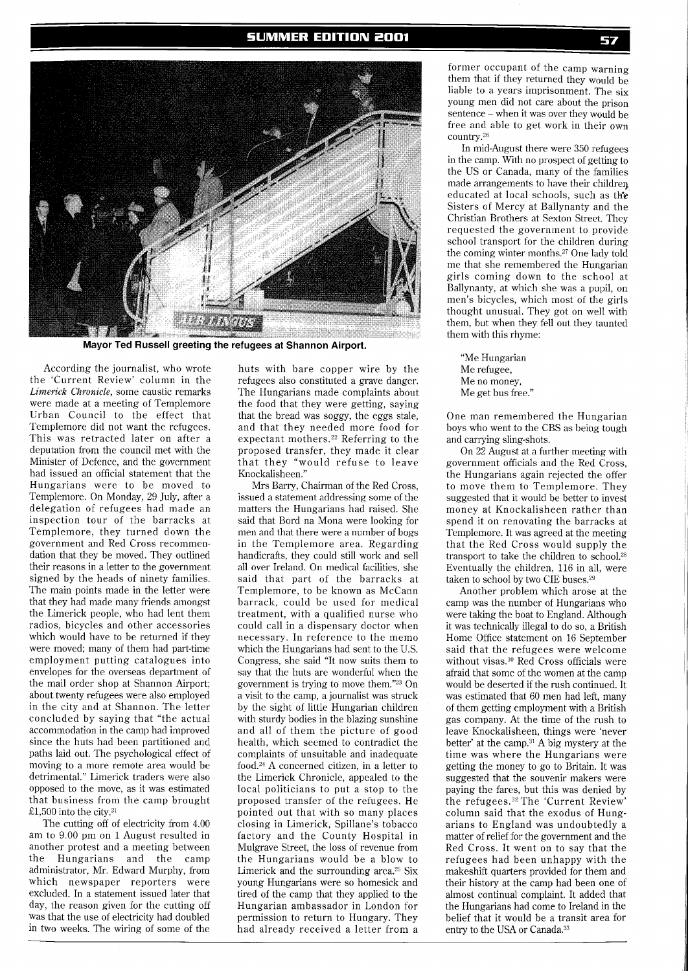

Mayor Ted Russell greeting the refugees at Shannon Airport.

According the journalist, who wrote the 'Current Review' column in the **Limerick** Chronicle, some caustic remarks were made at a meeting of Templemore Urban Council to the effect that Templemore did not want the refugees. This was retracted later on after a deputation from the council met with the Minister of Defence, and the government had issued an official statement that the Hungarians were to be moved to Templemore. On Monday, 29 July, after a delegation of refugees had made an inspection tour of the barracks at Templemore, they turned down the government and Red Cross recommendation that they be moved. They outlined their reasons in a letter to the government signed by the heads of ninety families. The main points made in the letter were that they had made many friends amongst the Limerick people, who had lent them radios, bicycles and other accessories which would have to be returned if they were moved; many of them had part-time employment putting catalogues into envelopes for the overseas department of the mail order shop at Shannon Airport; about twenty refugees were also employed in the city and at Shannon. The letter concluded by saying that "the actual accommodation in the camp had improved since the huts had been partitioned and paths laid out. The psychological effect of moving to a more remote area would be detrimental." Limerick traders were also opposed to the move, as it was estimated that business from the camp brought £1,500 into the city.21

The cutting off of electricity from 4.00 am to 9.00 pm on l August resulted in another protest and a meeting between the Hungarians and the camp administrator, Mr. Edward Murphy, from which newspaper reporters were excluded. In a statement issued later that day, the reason given for the cutting off was that the use of electricity had doubled in two weeks. The wiring of some of the

huts with bare copper wire by the refugees also constituted a grave danger. The Hungarians made complaints about the food that they were getting, saying that the bread was soggy, the eggs stale, and that they needed more food for expectant mothers.22 Referring to the proposed transfer, they made it clear that they "would refuse to leave Knockalisheen."

Mrs Barry, Chairman of the Red Cross, issued a statement addressing some of the matters the Hungarians had raised. She said that Bord na Mona were looking for men and that there were a number of bogs in the Templemore area. Regarding handicrafts, they could still work and sell all over Ireland. On medical facilities, she said that part of the barracks at Templemore, to be known as McCann barrack, could be used for medical treatment, with a qualified nurse who could call in a dispensary doctor when necessary. In reference to the memo which the Hungarians had sent to the U.S. Congress, she said "It now suits them to say that the huts are wonderful when the government is trying to move them."23 On a visit to the camp, a journalist was struck by the sight of little Hungarian children with sturdy bodies in the blazing sunshine and all of them the picture of good health. which seemed to contradict the complaints of unsuitable and inadequate food.24 A concerned citizen, in a letter to the Limerick Chronicle, appealed to the local politicians to put a stop to the proposed transfer of the refugees. He pointed out that with so many places closing in Limerick, Spillane's tobacco factory and the County Hospital in Mulgrave Street, the loss of revenue from the Hungarians would be a blow to Limerick and the surrounding area.<sup>25</sup> Six young Hungarians were so homesick and tired of the camp that they applied to the Hungarian ambassador in London for permission to return to Hungary. They had already received a letter from a

former occupant of the camp warning them that if they returned they would be liable to a years imprisonment. The six young men did not care about the prison sentence -when it was over they would be free and able to get work in their own country.<sup>26</sup>

In mid-August there were 350 refugees in the camp. With no prospect of getting to the US or Canada, many of the families made arrangements to have their children. educated at local schools, such as th'e Sisters of Mercy at Ballynanty and the Christian Brothers at Sexton Street. They requested the government to provide school transport for the children during the coming winter months.27 One lady told me that she remembered the Hungarian girls coming down to the school at Ballynanty, at which she was a pupil, on men's bicycles, which most of the girls thought unusual. They got on well with them, but when they fell out they taunted them with this rhyme:

"Me Hungarian Me refugee, Me no money, Me get bus free."

One man remembered the Hungarian boys who went to the CBS as being tough and carrying sling-shots.

On 22 August at a further meeting with government officials and the Red Cross, the Hungarians again rejected the offer to move them to Templemore. They suggested that it would be better to invest money at Knockalisheen rather than spend it on renovating the barracks at Templemore. It was agreed at the meeting that the Red Cross would supply the transport to take the children to schoo1.28 Eventually the children, 116 in all, were taken to school by two CIE buses.29

Another problem which arose at the camp was the number of Hungarians who were taking the boat to England. Although it was technically illegal to do so, a British Home Ofice statement on 16 September said that the refugees were welcome without visas.30 Red Cross officials were afraid that some of the women at the camp would be deserted if the rush continued. It was estimated that 60 men had left, many of them getting employment with a British gas company. At the time of the rush to leave Knockalisheen, things were 'never better' at the camp.31 A big mystery at the time was where the Hungarians were getting the money to go to Britain. It was suggested that the souvenir makers were paying the fares, but this was denied by the refugees.32 The 'Current Review' column said that the exodus of Hungarians to England was undoubtedly a matter of relief for the government and the Red Cross. It went on to say that the refugees had been unhappy with the makeshift quarters provided for them and their history at the camp had been one of almost continual complaint. It added that the Hungarians had come to Ireland in the belief that it would be a transit area for entry to the USA or Canada.33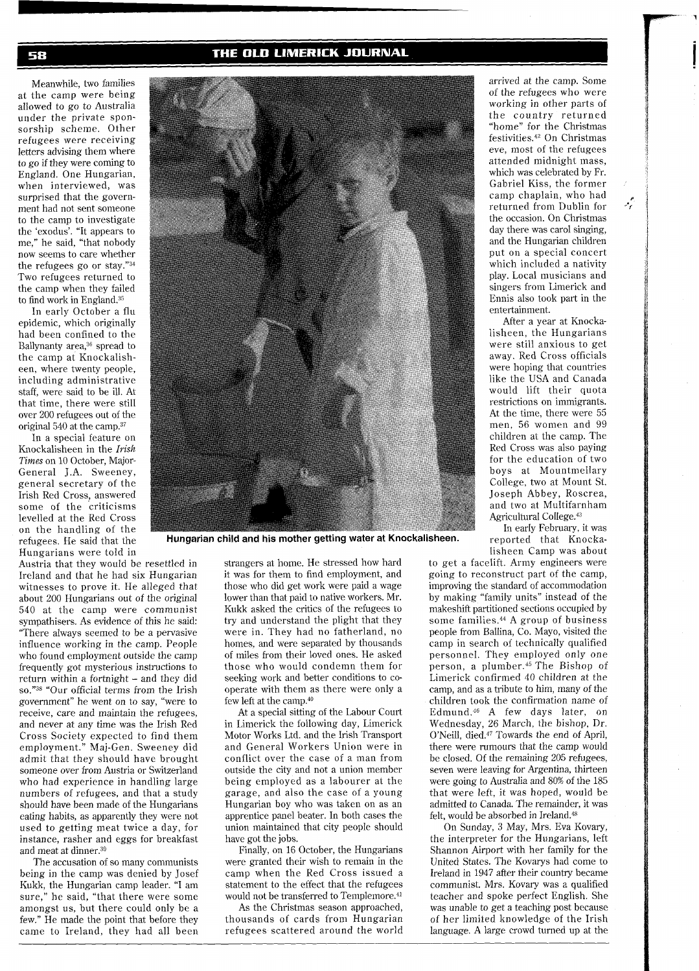## THE OLD LIMERICK JOURNAL

Meanwhile, two families at the camp were being allowed to go to Australia under the private sponsorship scheme. Other refugees were receiving letters advising them where to go if they were coming to England. One Hungarian, when interviewed, was surprised that the government had not sent someone to the camp to investigate the 'exodus'. "It appears to me," he said, "that nobody now seems to care whether the refugees go or stay."34 Two refugees returned to the camp when they failed to find work in England.35

In early October a flu epidemic, which originally had been confined to the Ballynanty area,<sup>36</sup> spread to the camp at Knockalisheen, where twenty people, including administrative staff, were said to be ill. At that time, there were still over 200 refugees out of the original 540 at the camp.37

In a special feature on Knockalisheen in the *Irish*  **Times** on 10 October, Major-General J.A. Sweeney, general secretary of the Irish Red Cross, answered some of the criticisms levelled at the Red Cross on the handling of the refugees. He said that the Hungarians were told in

Austria that they would be resettled in Ireland and that he had six Hungarian witnesses to prove it. He alleged that about 200 Hungarians out of the original 540 at the camp were communist sympathisers. As evidence of this he said: "There always seemed to be a pervasive influence working in the camp. People who found employment outside the camp frequently got mysterious instructions to return within a fortnight - and they did so."38 "Our official terms from the Irish government" he went on to say, "were to receive, care and maintain the refugees, and never at any time was the Irish Red Cross Society expected to find them employment." Maj-Gen. Sweeney did admit that they should have brought someone over from Austria or Switzerland who had experience in handling large numbers of refugees, and that a study should have been made of the Hungarians eating habits, as apparently they were not used to getting meat twice a day, for instance, rasher and eggs for breakfast and meat at dinner.39

The accusation of so many communists being in the camp was denied by Josef Kukk, the Hungarian camp leader. "I am sure," he said, "that there were some amongst us, but there could only be a few." He made the point that before they came to Ireland, they had all been



Hungarian child and his mother getting water at Knockalisheen.

strangers at home. He stressed how hard it was for them to find employment, and those who did get work were paid a wage lower than that paid to native workers. Mr. Kukk asked the critics of the refugees to try and understand the plight that they were in. They had no fatherland, no homes, and were separated by thousands of miles from their loved ones. He asked those who would condemn them for seeking work and better conditions to cooperate with them as there were only a few left at the camp.40

At a special sitting of the Labour Court in Limerick the following day, Limerick Motor Works Ltd. and the Irish Transport and General Workers Union were in conflict over the case of a man from outside the city and not a union member being employed as a labourer at the garage, and also the case of a young Hungarian boy who was taken on as an apprentice panel beater. In both cases the union maintained that city people should have got the jobs.

Finally, on 16 October, the Hungarians were granted their wish to remain in the camp when the Red Cross issued a statement to the effect that the refugees would not be transferred to Templemore.<sup>41</sup>

As the Christmas season approached, thousands of cards from Hungarian refugees scattered around the world arrived at the camp. Some of the refugees who were working in other parts of the country returned "home" for the Christmas festivities.<sup>42</sup> On Christmas eve, most of the refugees attended midnight mass, which was celebrated by Fr. Gabriel Kiss, the former camp chaplain, who had returned from Dublin for the occasion. On Christmas day there was carol singing, and the Hungarian children put on a special concert which included a nativity play. Local musicians and singers from Limerick and Ennis also took part in the entertainment.

تنبونه

After a year at Knockalisheen, the Hungarians were still anxious to get away. Red Cross officials were hoping that countries like the USA and Canada would lift their quota restrictions on immigrants. At the time, there were 55 men, 56 women and 99 children at the camp. The Red Cross was also paying for the education of two boys at Mountmellary College, two at Mount St. Joseph Abbey, Roscrea, and two at Multifarnham Agricultural College.43

In early February, it was reported that Knockalisheen Camp was about

to get a facelift. Army engineers were going to reconstruct part of the camp, improving the standard of accommodation by making "family units" instead of the makeshift partitioned sections occupied by some families.<sup>44</sup> A group of business people from Ballina, Co. Mayo, visited the camp in search of technically qualified personnel. They employed only one person, a plumber.45 The Bishop of Limerick confirmed 40 children at the camp, and as a tribute to him, many of the children took the confirmation name of Edmund.46 A few days later, on Wednesday, 26 March, the bishop, Dr. O'Neill, died.47 Towards the end of April, there were rumours that the camp would be closed. Of the remaining 205 refugees, seven were leaving for Argentina, thirteen were going to Australia and 80% of the 185 that were left, it was hoped, would be admitted to Canada. The remainder, it was felt, would be absorbed in Ireland.<sup>48</sup>

On Sunday, 3 May, Mrs. Eva Kovary, the interpreter for the Hungarians, left Shannon Airport with her family for the United States. The Kovarys had come to Ireland in 1947 after their country became communist. Mrs. Kovary was a qualified teacher and spoke perfect English. She was unable to get a teaching post because of her limited knowledge of the Irish language. A large crowd turned up at the